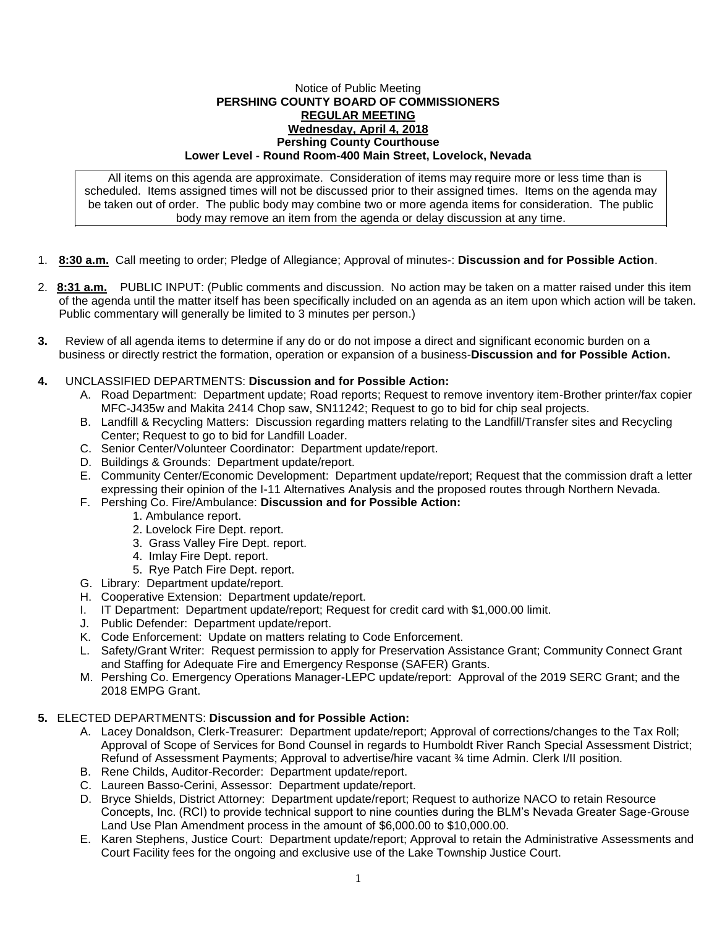## Notice of Public Meeting **PERSHING COUNTY BOARD OF COMMISSIONERS REGULAR MEETING Wednesday, April 4, 2018 Pershing County Courthouse Lower Level - Round Room-400 Main Street, Lovelock, Nevada**

All items on this agenda are approximate. Consideration of items may require more or less time than is scheduled. Items assigned times will not be discussed prior to their assigned times. Items on the agenda may be taken out of order. The public body may combine two or more agenda items for consideration. The public body may remove an item from the agenda or delay discussion at any time.

- 1. **8:30 a.m.** Call meeting to order; Pledge of Allegiance; Approval of minutes-: **Discussion and for Possible Action**.
- 2. **8:31 a.m.** PUBLIC INPUT: (Public comments and discussion. No action may be taken on a matter raised under this item of the agenda until the matter itself has been specifically included on an agenda as an item upon which action will be taken. Public commentary will generally be limited to 3 minutes per person.)
- **3.** Review of all agenda items to determine if any do or do not impose a direct and significant economic burden on a business or directly restrict the formation, operation or expansion of a business-**Discussion and for Possible Action.**
- **4.** UNCLASSIFIED DEPARTMENTS: **Discussion and for Possible Action:**
	- A. Road Department: Department update; Road reports; Request to remove inventory item-Brother printer/fax copier MFC-J435w and Makita 2414 Chop saw, SN11242; Request to go to bid for chip seal projects.
	- B. Landfill & Recycling Matters: Discussion regarding matters relating to the Landfill/Transfer sites and Recycling Center; Request to go to bid for Landfill Loader.
	- C. Senior Center/Volunteer Coordinator: Department update/report.
	- D. Buildings & Grounds: Department update/report.
	- E. Community Center/Economic Development: Department update/report; Request that the commission draft a letter expressing their opinion of the I-11 Alternatives Analysis and the proposed routes through Northern Nevada.
	- F. Pershing Co. Fire/Ambulance: **Discussion and for Possible Action:**
		- 1. Ambulance report.
		- 2. Lovelock Fire Dept. report.
		- 3. Grass Valley Fire Dept. report.
		- 4. Imlay Fire Dept. report.
		- 5. Rye Patch Fire Dept. report.
	- G. Library: Department update/report.
	- H. Cooperative Extension: Department update/report.
	- I. IT Department: Department update/report; Request for credit card with \$1,000.00 limit.
	- J. Public Defender: Department update/report.
	- K. Code Enforcement: Update on matters relating to Code Enforcement.
	- L. Safety/Grant Writer: Request permission to apply for Preservation Assistance Grant; Community Connect Grant and Staffing for Adequate Fire and Emergency Response (SAFER) Grants.
	- M. Pershing Co. Emergency Operations Manager-LEPC update/report: Approval of the 2019 SERC Grant; and the 2018 EMPG Grant.

## **5.** ELECTED DEPARTMENTS: **Discussion and for Possible Action:**

- A. Lacey Donaldson, Clerk-Treasurer: Department update/report; Approval of corrections/changes to the Tax Roll; Approval of Scope of Services for Bond Counsel in regards to Humboldt River Ranch Special Assessment District; Refund of Assessment Payments; Approval to advertise/hire vacant ¾ time Admin. Clerk I/II position.
- B. Rene Childs, Auditor-Recorder: Department update/report.
- C. Laureen Basso-Cerini, Assessor: Department update/report.
- D. Bryce Shields, District Attorney: Department update/report; Request to authorize NACO to retain Resource Concepts, Inc. (RCI) to provide technical support to nine counties during the BLM's Nevada Greater Sage-Grouse Land Use Plan Amendment process in the amount of \$6,000.00 to \$10,000.00.
- E. Karen Stephens, Justice Court: Department update/report; Approval to retain the Administrative Assessments and Court Facility fees for the ongoing and exclusive use of the Lake Township Justice Court.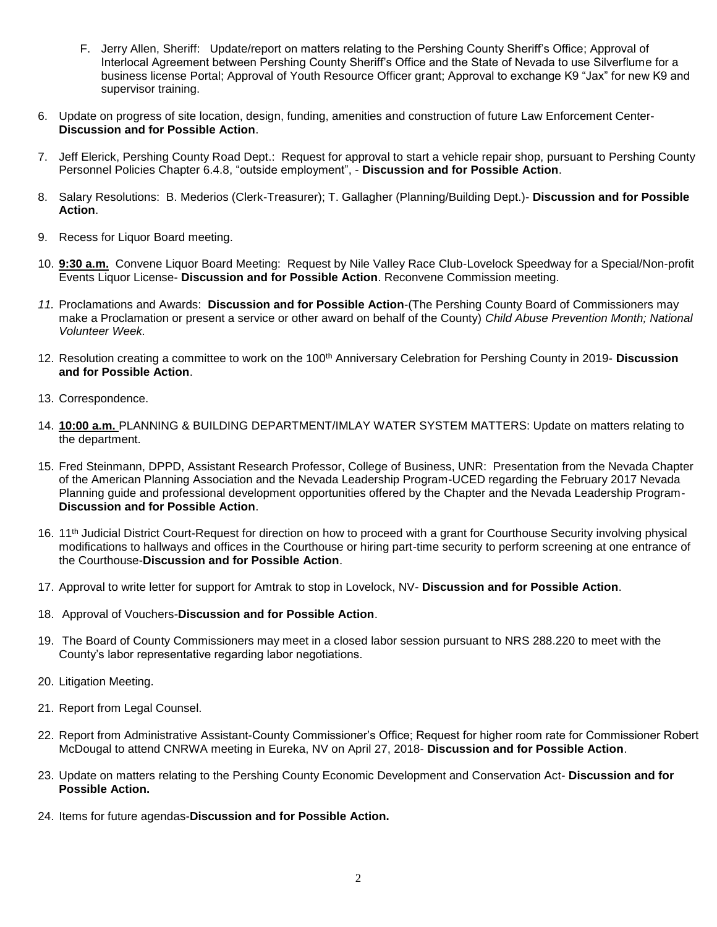- F. Jerry Allen, Sheriff: Update/report on matters relating to the Pershing County Sheriff's Office; Approval of Interlocal Agreement between Pershing County Sheriff's Office and the State of Nevada to use Silverflume for a business license Portal; Approval of Youth Resource Officer grant; Approval to exchange K9 "Jax" for new K9 and supervisor training.
- 6. Update on progress of site location, design, funding, amenities and construction of future Law Enforcement Center-**Discussion and for Possible Action**.
- 7. Jeff Elerick, Pershing County Road Dept.: Request for approval to start a vehicle repair shop, pursuant to Pershing County Personnel Policies Chapter 6.4.8, "outside employment", - **Discussion and for Possible Action**.
- 8. Salary Resolutions: B. Mederios (Clerk-Treasurer); T. Gallagher (Planning/Building Dept.)- **Discussion and for Possible Action**.
- 9. Recess for Liquor Board meeting.
- 10. **9:30 a.m.** Convene Liquor Board Meeting: Request by Nile Valley Race Club-Lovelock Speedway for a Special/Non-profit Events Liquor License- **Discussion and for Possible Action**. Reconvene Commission meeting.
- *11.* Proclamations and Awards: **Discussion and for Possible Action**-(The Pershing County Board of Commissioners may make a Proclamation or present a service or other award on behalf of the County) *Child Abuse Prevention Month; National Volunteer Week.*
- 12. Resolution creating a committee to work on the 100th Anniversary Celebration for Pershing County in 2019- **Discussion and for Possible Action**.
- 13. Correspondence.
- 14. **10:00 a.m.** PLANNING & BUILDING DEPARTMENT/IMLAY WATER SYSTEM MATTERS: Update on matters relating to the department.
- 15. Fred Steinmann, DPPD, Assistant Research Professor, College of Business, UNR: Presentation from the Nevada Chapter of the American Planning Association and the Nevada Leadership Program-UCED regarding the February 2017 Nevada Planning guide and professional development opportunities offered by the Chapter and the Nevada Leadership Program-**Discussion and for Possible Action**.
- 16. 11<sup>th</sup> Judicial District Court-Request for direction on how to proceed with a grant for Courthouse Security involving physical modifications to hallways and offices in the Courthouse or hiring part-time security to perform screening at one entrance of the Courthouse-**Discussion and for Possible Action**.
- 17. Approval to write letter for support for Amtrak to stop in Lovelock, NV- **Discussion and for Possible Action**.
- 18. Approval of Vouchers-**Discussion and for Possible Action**.
- 19. The Board of County Commissioners may meet in a closed labor session pursuant to NRS 288.220 to meet with the County's labor representative regarding labor negotiations.
- 20. Litigation Meeting.
- 21. Report from Legal Counsel.
- 22. Report from Administrative Assistant-County Commissioner's Office; Request for higher room rate for Commissioner Robert McDougal to attend CNRWA meeting in Eureka, NV on April 27, 2018- **Discussion and for Possible Action**.
- 23. Update on matters relating to the Pershing County Economic Development and Conservation Act- **Discussion and for Possible Action.**
- 24. Items for future agendas-**Discussion and for Possible Action.**